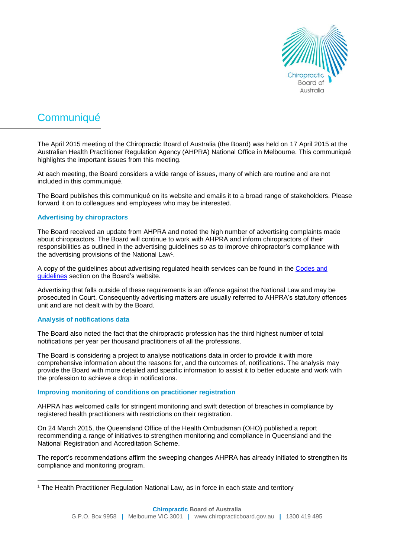

# **Communiqué**

The April 2015 meeting of the Chiropractic Board of Australia (the Board) was held on 17 April 2015 at the Australian Health Practitioner Regulation Agency (AHPRA) National Office in Melbourne. This communiqué highlights the important issues from this meeting.

At each meeting, the Board considers a wide range of issues, many of which are routine and are not included in this communiqué.

The Board publishes this communiqué on its website and emails it to a broad range of stakeholders. Please forward it on to colleagues and employees who may be interested.

### **Advertising by chiropractors**

The Board received an update from AHPRA and noted the high number of advertising complaints made about chiropractors. The Board will continue to work with AHPRA and inform chiropractors of their responsibilities as outlined in the advertising guidelines so as to improve chiropractor's compliance with the advertising provisions of the National Law<sup>1</sup>.

A copy of the guidelines about advertising regulated health services can be found in the [Codes and](http://www.chiropracticboard.gov.au/Codes-guidelines.aspx)  [guidelines](http://www.chiropracticboard.gov.au/Codes-guidelines.aspx) section on the Board's website.

Advertising that falls outside of these requirements is an offence against the National Law and may be prosecuted in Court. Consequently advertising matters are usually referred to AHPRA's statutory offences unit and are not dealt with by the Board.

#### **Analysis of notifications data**

 $\overline{a}$ 

The Board also noted the fact that the chiropractic profession has the third highest number of total notifications per year per thousand practitioners of all the professions.

The Board is considering a project to analyse notifications data in order to provide it with more comprehensive information about the reasons for, and the outcomes of, notifications. The analysis may provide the Board with more detailed and specific information to assist it to better educate and work with the profession to achieve a drop in notifications.

#### **Improving monitoring of conditions on practitioner registration**

AHPRA has welcomed calls for stringent monitoring and swift detection of breaches in compliance by registered health practitioners with restrictions on their registration.

On 24 March 2015, the Queensland Office of the Health Ombudsman (OHO) published a report recommending a range of initiatives to strengthen monitoring and compliance in Queensland and the National Registration and Accreditation Scheme.

The report's recommendations affirm the sweeping changes AHPRA has already initiated to strengthen its compliance and monitoring program.

<sup>&</sup>lt;sup>1</sup> The Health Practitioner Regulation National Law, as in force in each state and territory